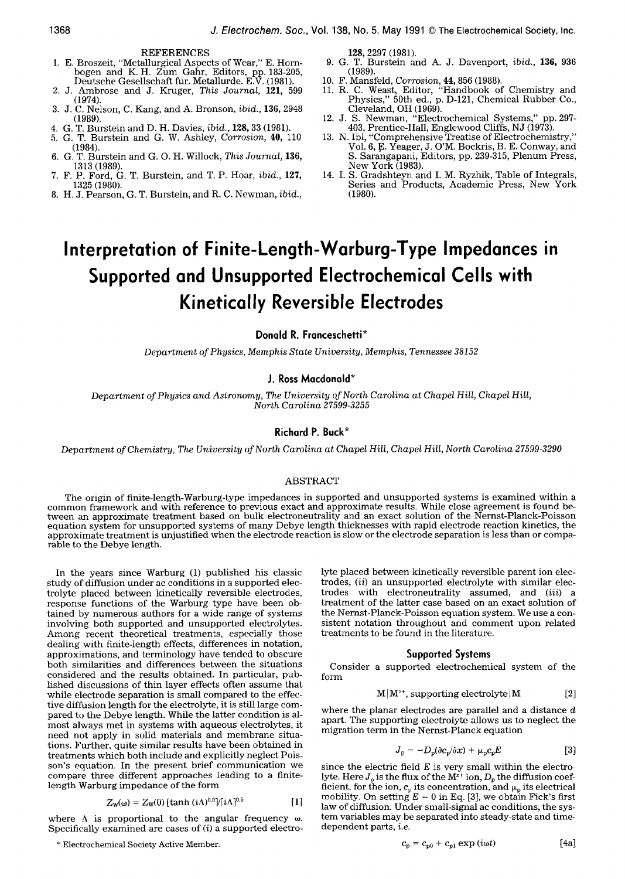#### REFERENCES

- 1. E. Broszeit, "Metallurgical Aspects of Wear," E. Hornbogen and K.H. Zum Gahr, Editors, pp. 183-205, Deutsche Gesellschaft fur. Metallurde. E.V. (1981).
- 2. J. Ambrose and J. Kruger, *This Journal,* 121, 599 (1974).
- 3. J. C. Nelson, C. Kang, and A. Bronson, *ibid.,* 136, 2948 (1989).
- 4. G. T. Burstein and D. H. Davies, *ibid.,* 128, 33 (1981).
- 5. G. T. Burstein and G. W. Ashley, *Corrosion,* 40, 110 (1984).
- 6. G. T. Burstein and G. O. H. Willock, *This Journal,* 136, 1313 (1989).
- 7. F. P. Ford, G. T. Burstein, and T. P. Hoar, *ibid.,* 127, 1325 (1980).
- 8. H. J. Pearson, G. T. Burstein, and R. C. Newman, *ibid.,*

128, 2297 (1981).

- 9. G. T. Burstein and A. J. Davenport, *ibid.,* 136, 936 (1989).
- 10. F. Mansfeld, *Corrosion,* 44, 856 (1988).
- 11. R. C. Weast, Editor, "Handbook of Chemistry and Physics," 50th ed., p. D-121, Chemical Rubber Co., Cleveland, OH (1969).
- 12. J. S. Newman, "Electrochemical Systems," pp. 297- 403, Prentice-Hall, Englewood Cliffs, NJ (1973).
- 13. N. Ibl, "Comprehensive Treatise of Electrochemistry," Vol. 6, E. Yeager, J. O'M. Bockris, B. E. Conway, and S. Sarangapani, Editors, pp. 239-315, Plenum Press, New York (1983).
- 14. I. S. Gradshteyn and I. M. Ryzhik, Table of Integrals, Series and Products, Academic Press, New York (1980).

# **Interpretation of Finite-Length-Warburg-Type Impedances in Supported and Unsupported Electrochemical Cells with Kinetically Reversible Electrodes**

# **Donald R. Franceschetti\***

*Department of Physics, Memphis State University, Memphis, Tennessee 38152* 

# **J. Ross Macdonald\***

*Department of Physics and Astronomy, The University of North Carolina at Chapel Hill, Chapel Hill, North Carolina 27599-3255* 

# **Richard P. Buck\***

*Department of Chemistry, The University of North Carolina at Chapel Hill, Chapel Hill, North Carolina 27599-3290* 

# ABSTRACT

The origin of finite-length-Warburg-type impedances in supported and unsupported systems is examined within a common framework and with reference to previous exact and approximate results. While close agreement is found between an approximate treatment based on bulk electroneutrality and an exact solution of the Nernst-Planck-Poisson equation system for unsupported systems of many Debye length thicknesses with rapid electrode reaction kinetics, the approximate treatment is unjustified when the electrode reaction is slow or the electrode separation is less than or comparable to the Debye length.

In the years since Warburg (1) published his classic study of diffusion under ac conditions in a supported electrolyte placed between kinetically reversible electrodes, response functions of the Warburg type have been obtained by numerous authors for a wide range of systems involving both supported and unsupported electrolytes. Among recent theoretical treatments, especially those dealing with finite-length effects, differences in notation, approximations, and terminology have tended to obscure both similarities and differences between the situations considered and the results obtained. In particular, published discussions of thin layer effects often assume that while electrode separation is small compared to the effective diffusion length for the electrolyte, it is still large compared to the Debye length. While the latter condition is almost always met in systems with aqueous electrolytes, it need not apply in solid materials and membrane situations. Further, quite similar results have been obtained in treatments which both include and explicitly neglect Poisson's equation. In the present brief communication we compare three different approaches leading to a finitelength Warburg impedance of the form

$$
Z_{\rm w}(\omega) = Z_{\rm w}(0) \left[ \tanh\left(i\Lambda\right)^{0.5} \right] / \left[ i\Lambda\right]^{0.5} \tag{1}
$$

where  $\Lambda$  is proportional to the angular frequency  $\omega$ . Specifically examined are cases of  $(i)$  a supported electrolyte placed between kinetically reversible parent ion electrodes, *(ii)* an unsupported electrolyte with similar electrodes with electroneutrality assumed, and *(iii) a*  treatment of the latter case based on an exact solution of the Nernst-Planck-Poisson equation system. We use a consistent notation throughout and comment upon related treatments to be found in the literature.

#### **Supported Systems**

Consider a supported electrochemical system of the form

$$
M|M^{2+}, \text{ supporting electrolyte}|M \qquad [2]
$$

where the planar electrodes are parallel and a distance d apart. The supporting electrolyte allows us to neglect the migration term in the Nernst-Planck equation

$$
J_{\rm p} = -D_{\rm p}(\partial c_{\rm p}/\partial x) + \mu_{\rm p}c_{\rm p}E \tag{3}
$$

since the electric field  $E$  is very small within the electrolyte. Here  $J_p$  is the flux of the  $M^{\alpha+}$  ion,  $D_p$  the diffusion coefficient, for the ion,  $c_p$  its concentration, and  $\mu_p$  its electrical mobility. On setting  $E = 0$  in Eq. [3], we obtain Fick's first law of diffusion. Under small-signal ac conditions, the system variables may be separated into steady-state and timedependent parts, *i.e.* 

<sup>\*</sup> Electrochemical Society Active Member.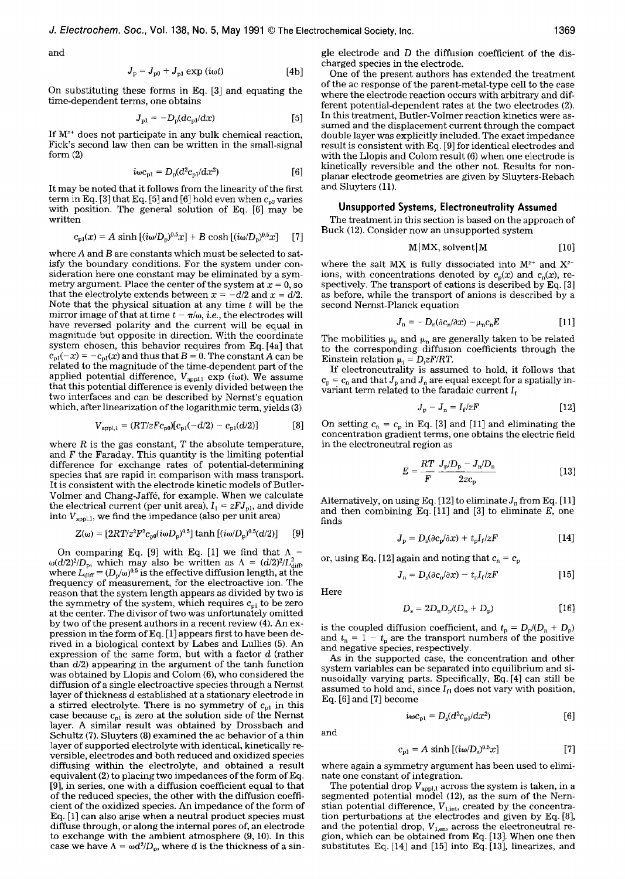and

$$
J_{\rm p} = J_{\rm p0} + J_{\rm p1} \exp(i\omega t) \tag{4b}
$$

On substituting these forms in Eq. [3] and equating the time-dependent terms, one obtains

$$
J_{p1} = -D_p (dc_{p1}/dx) \tag{5}
$$

If  $M^{z+}$  does not participate in any bulk chemical reaction, Fick's second law then can be written in the small-signal form (2)

$$
i\omega c_{\mathrm{pl}} = D_{\mathrm{p}}(d^2 c_{\mathrm{p1}}/dx^2)
$$
 [6]

It may be noted that it follows from the linearity of the first term in Eq. [3] that Eq. [5] and [6] hold even when  $c_{p0}$  varies with position. The general solution of Eq. [6] may be written

$$
c_{p1}(x) = A \sinh [(i\omega/D_p)^{0.5}x] + B \cosh [(i\omega/D_p)^{0.5}x] \tag{7}
$$

where A and B are constants which must be selected to satisfy the boundary conditions. For the system under consideration here one constant may be eliminated by a symmetry argument. Place the center of the system at  $x = 0$ , so that the electrolyte extends between  $x = -d/2$  and  $x = d/2$ . Note that the physical situation at any time t will be the mirror image of that at time  $t - \pi/\omega$ , *i.e.*, the electrodes will have reversed polarity and the current will be equal in magnitude but opposite in direction. With the coordinate system chosen, this behavior requires from Eq. [4a] that  $c_{\text{pl}}(-x) = -c_{\text{pl}}(x)$  and thus that  $B = 0$ . The constant A can be related to the magnitude of the time-dependent part of the applied potential difference,  $V_{\text{appl},1}$  exp *(iot)*. We assume that this potential difference is evenly divided between the two interfaces and can be described by Nernst's equation which, after linearization of the logarithmic term, yields (3)

$$
V_{\text{appl},1} = (RT/zF c_{\text{p0}})[c_{\text{p1}}(-d/2) - c_{\text{p1}}(d/2)] \tag{8}
$$

where  $R$  is the gas constant,  $T$  the absolute temperature, and  $F$  the Faraday. This quantity is the limiting potential difference for exchange rates of potential-determining species that are rapid in comparison with mass transport. It is consistent with the electrode kinetic models of Butler-Volmer and Chang-Jaffé, for example. When we calculate the electrical current (per unit area),  $I_1 = zFJ_{p1}$ , and divide into  $V_{\text{appl},1}$ , we find the impedance (also per unit area)

$$
Z(\omega) = [2RT/z^2 F^2 c_{\text{00}}(i\omega D_{\text{p}})^{0.5}] \tanh [(i\omega/D_{\text{p}})^{0.5}(d/2)] \quad [9]
$$

On comparing Eq. [9] with Eq. [1] we find that  $\Lambda$  =  $\omega(d/2)^2/D_p$ , which may also be written as  $\Lambda = (d/2)^2/L_{diff}^2$ , where  $L_{\text{diff}} = (D_{\rm p}/\omega)^{0.5}$  is the effective diffusion length, at the frequency of measurement, for the electroactive ion. The reason that the system length appears as divided by two is the symmetry of the system, which requires  $c_{pI}$  to be zero at the center. The divisor of two was unfortunately omitted by two of the present authors in a recent review (4). An expression in the form of Eq. [1] appears first to have been derived in a biological context by Labes and Lullies (5). An expression of the same form, but with a factor d (rather than *d/2)* appearing in the argument of the tanh function was obtained by Llopis and Colom (6), who considered the diffusion of a single electroactive species through a Nernst layer of thickness  $d$  established at a stationary electrode in a stirred electrolyte. There is no symmetry of  $c_{p1}$  in this case because  $c_{\text{pl}}$  is zero at the solution side of the Nernst layer. A similar result was obtained by Drossbach and Schultz (7). Sluyters (8) examined the ac behavior of a thin layer of supported electrolyte with identical, kinetically reversible, electrodes and both reduced and oxidized species diffusing within the electrolyte, and obtained a result equivalent (2) to placing two impedances of the form of Eq. [9], in series, one with a diffusion coefficient equal to that of the reduced species, the other with the diffusion coefficient of the oxidized species. An impedance of the form of Eq. [1] can also arise when a neutral product species must diffuse through, or along the internal pores of, an electrode to exchange with the ambient atmosphere (9, 10). In this case we have  $\Lambda = \omega d^2/D_0$ , where d is the thickness of a single electrode and D the diffusion coefficient of the discharged species in the electrode.

One of the present authors has extended the treatment of the ac response of the parent-metal-type cell to the case where the electrode reaction occurs with arbitrary and different potential-dependent rates at the two electrodes (2). In this treatment, Butler-Volmer reaction kinetics were assumed and the displacement current through the compact double layer was explicitly included. The exact impedance result is consistent with Eq. [9] for identical electrodes and with the Llopis and Colom result (6) when one electrode is kinetically reversible and the other not. Results for nonplanar electrode geometries are given by Sluyters-Rebach and Sluyters (11).

#### **Unsupported Systems, Eiectroneutrality Assumed**

The treatment in this section is based on the approach of Buck (12). Consider now an unsupported system

$$
M|MX, solvent|M
$$
 [10]

where the salt MX is fully dissociated into  $M^{z+}$  and  $X^{z-}$ ions, with concentrations denoted by  $c_p(x)$  and  $c_n(x)$ , respectively. The transport of cations is described by Eq. [3] as before, while the transport of anions is described by a second Nernst-Planck equation

$$
J_n = -D_n(\partial c_n/\partial x) - \mu_n c_n E \qquad [11]
$$

The mobilities  $\mu_p$  and  $\mu_n$  are generally taken to be related to the corresponding diffusion coefficients through the Einstein relation  $\mu_i = D_i z F / RT$ .

If electroneutrality is assumed to hold, it follows that  $c_p = c_n$  and that  $J_p$  and  $J_p$  are equal except for a spatially invariant term related to the faradaic current  $I_f$ 

$$
J_{\rm p} - J_{\rm n} = I_{\rm f}/zF \tag{12}
$$

On setting  $c_n = c_p$  in Eq. [3] and [11] and eliminating the concentration gradient terms, one obtains the electric field in the electroneutral region as

$$
E = \frac{RT}{F} \frac{J_{\rm p}/D_{\rm p} - J_{\rm n}/D_{\rm n}}{2zc_{\rm p}}
$$
 [13]

Alternatively, on using Eq. [12] to eliminate  $J_p$  from Eq. [11] and then combining Eq.  $[11]$  and  $[3]$  to eliminate E, one finds

$$
J_{\rm p} = D_{\rm s} (\partial c_{\rm p}/\partial x) + t_{\rm p} I_{\rm f}/zF \qquad [14]
$$

or, using Eq. [12] again and noting that  $c_n = c_p$ 

$$
J_n = D_s(\partial c_n/\partial x) - t_n I_f/zF \qquad [15]
$$

Here

$$
D_{\rm s} = 2D_{\rm n}D_{\rm p}/(D_{\rm n} + D_{\rm p})\tag{16}
$$

is the coupled diffusion coefficient, and  $t_p = D_p/(D_n + D_p)$ and  $t_n = 1 - t_p$  are the transport numbers of the positive and negative species, respectively.

As in the supported case, the concentration and other system variables can be separated into equilibrium and sinusoidally varying parts. Specifically, Eq. [4] can still be assumed to hold and, since  $I_{\text{fl}}$  does not vary with position, Eq. [6] and [7] become

$$
i\omega c_{\rm pl} = D_{\rm s}(d^2 c_{\rm pl}/dx^2)
$$
 [6]

and

$$
c_{p1} = A \sinh[(i\omega/D_s)^{0.5}x] \tag{7}
$$

where again a symmetry argument has been used to eliminate one constant of integration.

The potential drop  $V_{\mathrm{appl,1}}$  across the system is taken, in a segmented potential model (12), as the sum of the Nernstian potential difference,  $V_{1, \text{int}}$ , created by the concentration perturbations at the electrodes and given by Eq. [8], and the potential drop,  $V_{1,\rm en}$ , across the electroneutral region, which can be obtained from Eq. [13]. When one then substitutes Eq. [14] and [15] into Eq. [13], linearizes, and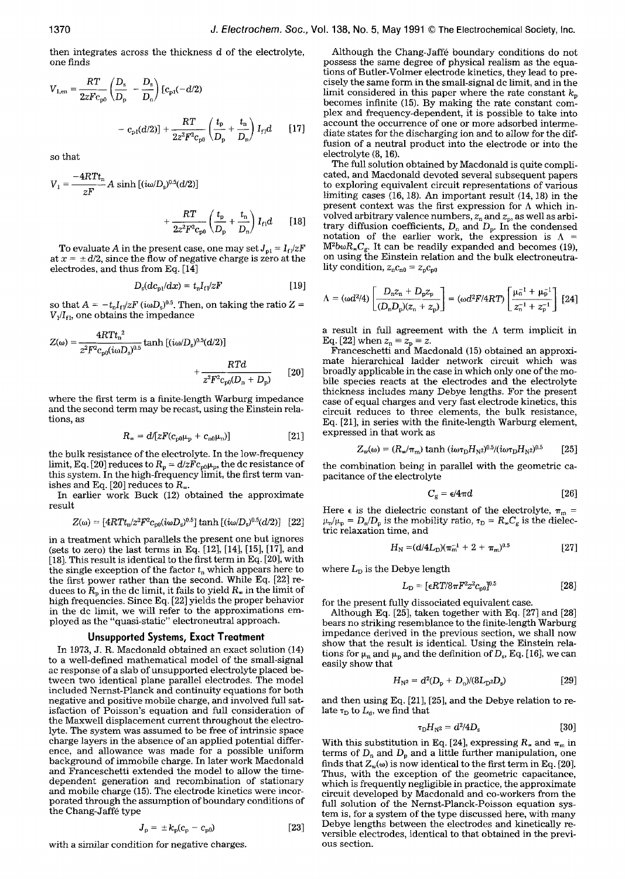then integrates across the thickness d of the electrolyte, one finds

$$
V_{1,en} = \frac{RT}{2zFc_{p0}} \left(\frac{D_s}{D_p} - \frac{D_s}{D_n}\right) \left[c_{p1}(-d/2)\right]
$$

$$
- c_{p1}(d/2)\right] + \frac{RT}{2z^2F^2c_{p0}} \left(\frac{t_p}{D_p} + \frac{t_n}{D_n}\right)I_{r1}d \qquad [17]
$$

so that

$$
V_1 = \frac{-4RTt_n}{zF} A \sinh [(i\omega/D_s)^{0.5}(d/2)] + \frac{RT}{2z^2F^2c_{\text{no}}} \left(\frac{t_p}{D_p} + \frac{t_n}{D_n}\right) I_{\text{fl}}d \qquad [18]
$$

To evaluate A in the present case, one may set  $J_{p1} = I_{f1}/zF$ at  $x = \pm d/2$ , since the flow of negative charge is zero at the electrodes, and thus from Eq. [14]

$$
D_{\rm s}(dc_{\rm pl}/dx) = t_{\rm n}I_{\rm fl}/zF \qquad [19]
$$

so that  $A = -t_n I_r / zF$   $(i\omega D_c)^{0.5}$ . Then, on taking the ratio Z =  $V_1/I_{f1}$ , one obtains the impedance

$$
Z(\omega) = \frac{4RTt_n^2}{z^2F^2c_{p0}(i\omega D_s)^{0.5}} \tanh\left[(i\omega/D_s)^{0.5}(d/2)\right] + \frac{RTd}{z^2F^2c_{p0}(D_n + D_p)} \tag{20}
$$

where the first term is a finite-length Warburg impedance and the second term may be recast, using the Einstein relations, as

$$
R_{\infty} = d/[zF(c_{p0}\mu_{p} + c_{n0}\mu_{n})]
$$
 [21]

the bulk resistance of the electrolyte. In the low-frequency limit, Eq. [20] reduces to  $R_p = d/z F c_{p0} \mu_p$ , the dc resistance of this system. In the high-frequency limit, the first term vanishes and Eq. [20] reduces to  $R_{\infty}$ .

In earlier work Buck (12) obtained the approximate result

$$
Z(\omega) = [4RTt_{\rm n}/z^2F^2c_{\rm p0}(i\omega D_{\rm s})^{0.5}] \tanh [(i\omega/D_{\rm s})^{0.5}(d/2)] \quad [22]
$$

in a treatment which parallels the present one but ignores (sets to zero) the last terms in Eq. [12], [14], [15], [17], and [18]. This result is identical to the first term in Eq. [20], with the single exception of the factor  $t_{n}$  which appears here to the first power rather than the second. While Eq. [22] reduces to  $R_p$  in the dc limit, it fails to yield  $R_w$  in the limit of high frequencies. Since Eq. [22] yields the proper behavior in the dc limit, we will refer to the approximations employed as the "quasi-static" electroneutral approach.

# **Unsupported Systems, Exact Treatment**

In 1973, J. R. Macdonald obtained an exact solution (14) to a well-defined mathematical model of the small-signal ac response of a slab of unsupported electrolyte placed between two identical plane parallel electrodes. The model included Nernst-Planck and continuity equations for both negative and positive mobile charge, and involved full satisfaction of Poisson's equation and full consideration of the Maxwell displacement current throughout the electrolyte. The system was assumed to be free of intrinsic space charge layers in the absence of an applied potential difference, and allowance was made for a possible uniform background of immobile charge. In later work Macdonald and Franceschetti extended the model to allow the timedependent generation and recombination of stationary and mobile charge (15). The electrode kinetics were incorporated through the assumption of boundary conditions of the Chang-Jaffé type

$$
J_{\rm p} = \pm k_{\rm p}(c_{\rm p} - c_{\rm p0})
$$
 [23]

with a similar condition for negative charges.

Although the Chang-Jaffé boundary conditions do not possess the same degree of physical realism as the equations of Butler-Volmer electrode kinetics, they lead to precisely the same form in the small-signal dc limit, and in the limit considered in this paper where the rate constant  $k_p$ becomes infinite (15). By making the rate constant complex and frequency-dependent, it is possible to take into account the occurrence of one or more adsorbed intermediate states for the discharging ion and to allow for the diffusion of a neutral product into the electrode or into the electrolyte (8, 16).

The full solution obtained by Macdonald is quite complicated, and Macdonald devoted several subsequent papers to exploring equivalent circuit representations of various limiting cases (16, 18). An important result (14, 18) in the present context was the first expression for  $\Lambda$  which involved arbitrary valence numbers,  $z_n$  and  $z_p$ , as well as arbitrary diffusion coefficients,  $D_n$  and  $D_p$ . In the condensed notation of the earlier work, the expression is  $\Lambda =$  $M^2b\omega R_{\infty}C_{g}$ . It can be readily expanded and becomes (19), on using the Einstein relation and the bulk electroneutrality condition,  $z_n c_{n0} = z_p c_{p0}$ 

$$
\Lambda = (\omega d^2/4) \left[ \frac{D_n z_n + D_p z_p}{(D_n D_p)(z_n + z_p)} \right] = (\omega d^2 F / 4RT) \left[ \frac{\mu_n^{-1} + \mu_p^{-1}}{z_n^{-1} + z_p^{-1}} \right] [24]
$$

a result in full agreement with the  $\Lambda$  term implicit in Eq. [22] when  $z_n = z_p = z$ .

Franceschetti and Macdonald (15) obtained an approximate hierarchical ladder network circuit which was broadly applicable in the case in which only one of the mobile species reacts at the electrodes and the electrolyte thickness includes many Debye lengths. For the present case of equal charges and very fast electrode kinetics, this circuit reduces to three elements, the bulk resistance, Eq. [21], in series with the finite-length Warburg element, expressed in that work as

$$
Z_{\rm w}(\omega) = (R_{\rm w}/\pi_{\rm m}) \tanh (i\omega \tau_{\rm D} H_{\rm N2})^{0.5}/(i\omega \tau_{\rm D} H_{\rm N2})^{0.5}
$$
 [25]

the combination being in parallel with the geometric capacitance of the electrolyte

$$
C_g = \epsilon/4\pi d \qquad [26]
$$

Here  $\epsilon$  is the dielectric constant of the electrolyte,  $\pi_{\rm m}$  =  $\mu_n/\mu_p = D_n/D_p$  is the mobility ratio,  $\tau_D = R_{\infty}C_g$  is the dielectric relaxation time, and

$$
H_{\rm N} = (d/4L_{\rm D})(\pi_{\rm m}^{-1} + 2 + \pi_{\rm m})^{0.5} \tag{27}
$$

where  $L<sub>D</sub>$  is the Debye length

$$
L_{\rm D} = [ \epsilon RT/8\pi F^2 z^2 c_{\rm pol} ]^{0.5} \tag{28}
$$

for the present fully dissociated equivalent case.

Although Eq. [25], taken together with Eq. [27] and [28] bears no striking resemblance to the finite-length Warburg impedance derived in the previous section, we shall now show that the result is identical. Using the Einstein relations for  $\mu_n$  and  $\mu_p$  and the definition of  $D_s$ , Eq. [16], we can easily show that

$$
H_{\rm N^2} = d^2(D_{\rm p} + D_{\rm n})/(8L_{\rm D}^2 D_{\rm s})
$$
 [29]

and then using Eq. [21], [25], and the Debye relation to relate  $\tau_D$  to  $L_d$ , we find that

$$
\tau_{\rm D} H_{\rm N^2} = d^2 / 4 D_{\rm s} \tag{30}
$$

With this substitution in Eq. [24], expressing  $R_*$  and  $\pi_m$  in terms of  $D_n$  and  $D_p$  and a little further manipulation, one finds that  $Z_w(\omega)$  is now identical to the first term in Eq. [20]. Thus, with the exception of the geometric capacitance, which is frequently negligible in practice, the approximate circuit developed by Macdonald and co-workers from the full solution of the Nernst-Planck-Poisson equation system is, for a system of the type discussed here, with many Debye lengths between the electrodes and kinetically reversible electrodes, identical to that obtained in the previous section.